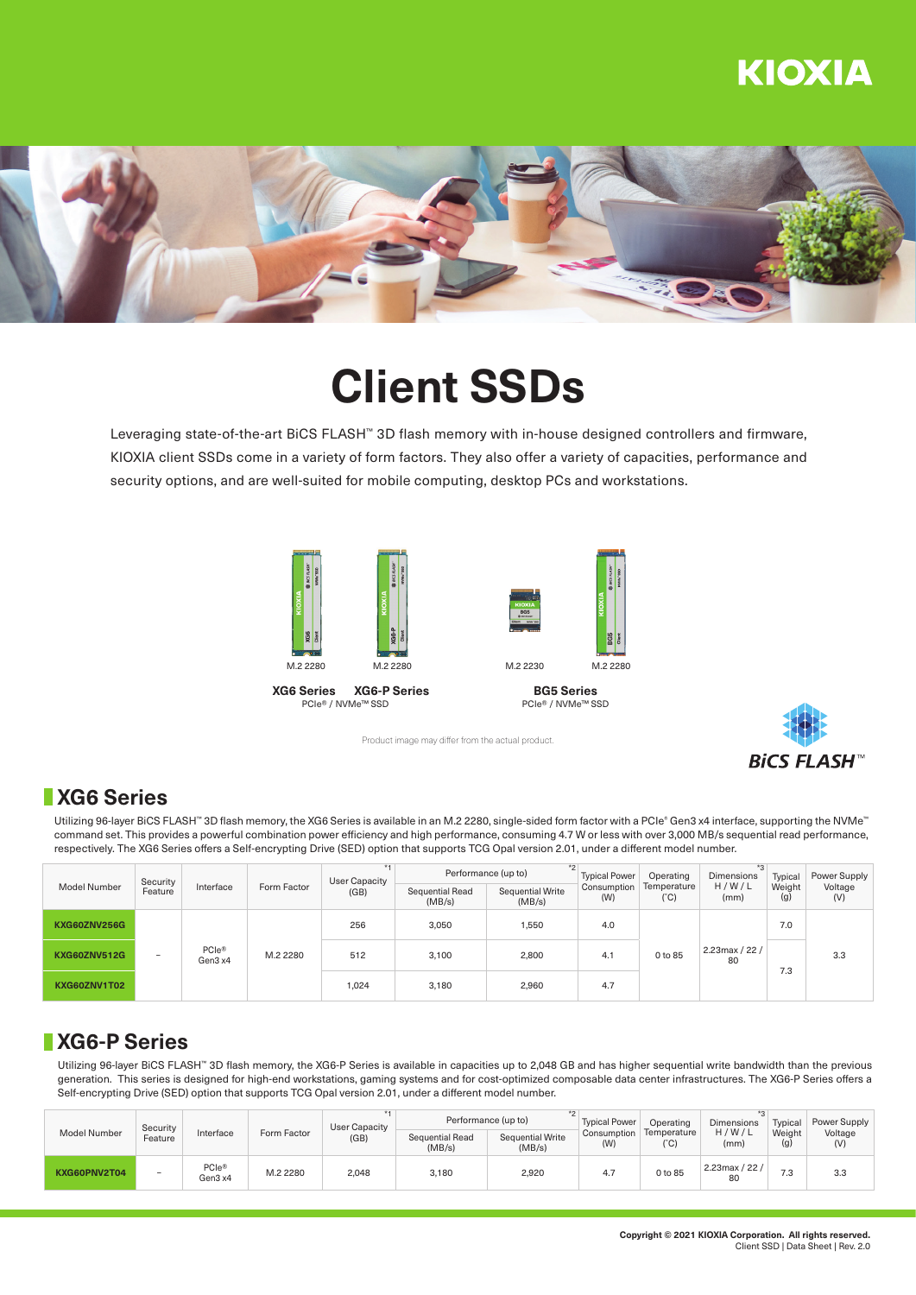## **KIOXIA**



# **Client SSDs**

Leveraging state-of-the-art BiCS FLASH™ 3D flash memory with in-house designed controllers and firmware, KIOXIA client SSDs come in a variety of form factors. They also offer a variety of capacities, performance and security options, and are well-suited for mobile computing, desktop PCs and workstations.





**BG5 Series**





### **XG6 Series**

Utilizing 96-layer BiCS FLASH™ 3D flash memory, the XG6 Series is available in an M.2 2280, single-sided form factor with a PCIe® Gen3 x4 interface, supporting the NVMe™ command set. This provides a powerful combination power efficiency and high performance, consuming 4.7 W or less with over 3,000 MB/s sequential read performance, respectively. The XG6 Series offers a Self-encrypting Drive (SED) option that supports TCG Opal version 2.01, under a different model number.

Product image may differ from the actual product.

| <b>Model Number</b> | Security<br>Feature | Interface                    | Form Factor | User Capacity<br>(GB) | $*$<br>Performance (up to) |                            | <b>Typical Power</b> | Operating                    | Dimensions           | Typical       | Power Supply   |
|---------------------|---------------------|------------------------------|-------------|-----------------------|----------------------------|----------------------------|----------------------|------------------------------|----------------------|---------------|----------------|
|                     |                     |                              |             |                       | Sequential Read<br>(MB/s)  | Sequential Write<br>(MB/s) | Consumption<br>(W)   | Temperature<br>$(^{\circ}C)$ | H/W/L<br>(mm)        | Weight<br>(g) | Voltage<br>(V) |
| KXG60ZNV256G        | -                   | PCIe <sup>®</sup><br>Gen3 x4 | M.2 2280    | 256                   | 3.050                      | 1,550                      | 4.0                  | 0 to 85                      | 2.23max / 22 /<br>80 | 7.0           | 3.3            |
| <b>KXG60ZNV512G</b> |                     |                              |             | 512                   | 3.100                      | 2,800                      | 4.1                  |                              |                      | 7.3           |                |
| KXG60ZNV1T02        |                     |                              |             | 1,024                 | 3.180                      | 2,960                      | 4.7                  |                              |                      |               |                |

### **XG6-P Series**

Utilizing 96-layer BiCS FLASH™ 3D flash memory, the XG6-P Series is available in capacities up to 2,048 GB and has higher sequential write bandwidth than the previous generation. This series is designed for high-end workstations, gaming systems and for cost-optimized composable data center infrastructures. The XG6-P Series offers a Self-encrypting Drive (SED) option that supports TCG Opal version 2.01, under a different model number.

| Model Number | Security<br>Feature | Interface        | Form Factor | User Capacity<br>(GB) | Performance (up to)       | <b>Typical Power</b>       | Operating          | <b>Dimensions</b>   | Typical                 | Power Supply  |                |
|--------------|---------------------|------------------|-------------|-----------------------|---------------------------|----------------------------|--------------------|---------------------|-------------------------|---------------|----------------|
|              |                     |                  |             |                       | Sequential Read<br>(MB/s) | Sequential Write<br>(MB/s) | Consumption<br>(W) | Temperature<br>(°C) | H/W/L<br>(mm)           | Weight<br>(g) | Voltage<br>(V) |
| KXG60PNV2T04 | $\sim$              | PCle@<br>Gen3 x4 | M.2 2280    | 2,048                 | 3.180                     | 2,920                      | 4.,                | 0 to 85             | $2.23$ max / 22 /<br>80 | 7.3           | 3.3            |